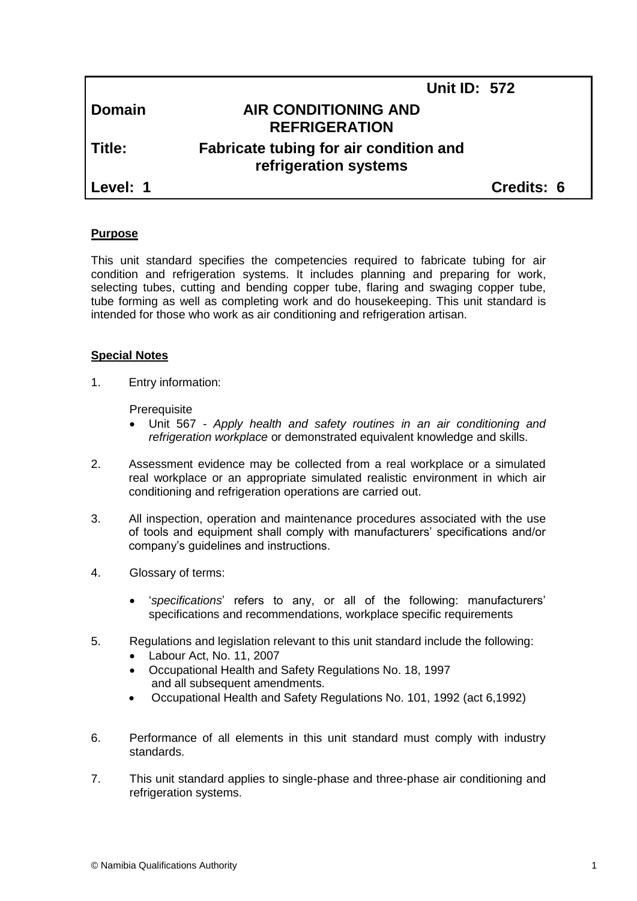|               | <b>Unit ID: 572</b>                                             |            |  |
|---------------|-----------------------------------------------------------------|------------|--|
| <b>Domain</b> | <b>AIR CONDITIONING AND</b><br><b>REFRIGERATION</b>             |            |  |
| Title:        | Fabricate tubing for air condition and<br>refrigeration systems |            |  |
| Level: 1      |                                                                 | Credits: 6 |  |
|               |                                                                 |            |  |

#### **Purpose**

This unit standard specifies the competencies required to fabricate tubing for air condition and refrigeration systems. It includes planning and preparing for work, selecting tubes, cutting and bending copper tube, flaring and swaging copper tube, tube forming as well as completing work and do housekeeping. This unit standard is intended for those who work as air conditioning and refrigeration artisan.

#### **Special Notes**

1. Entry information:

**Prerequisite** 

- Unit 567 *- Apply health and safety routines in an air conditioning and refrigeration workplace* or demonstrated equivalent knowledge and skills.
- 2. Assessment evidence may be collected from a real workplace or a simulated real workplace or an appropriate simulated realistic environment in which air conditioning and refrigeration operations are carried out.
- 3. All inspection, operation and maintenance procedures associated with the use of tools and equipment shall comply with manufacturers' specifications and/or company's guidelines and instructions.
- 4. Glossary of terms:
	- '*specifications*' refers to any, or all of the following: manufacturers' specifications and recommendations, workplace specific requirements
- 5. Regulations and legislation relevant to this unit standard include the following:
	- Labour Act, No. 11, 2007
	- Occupational Health and Safety Regulations No. 18, 1997 and all subsequent amendments.
	- Occupational Health and Safety Regulations No. 101, 1992 (act 6,1992)
- 6. Performance of all elements in this unit standard must comply with industry standards.
- 7. This unit standard applies to single-phase and three-phase air conditioning and refrigeration systems.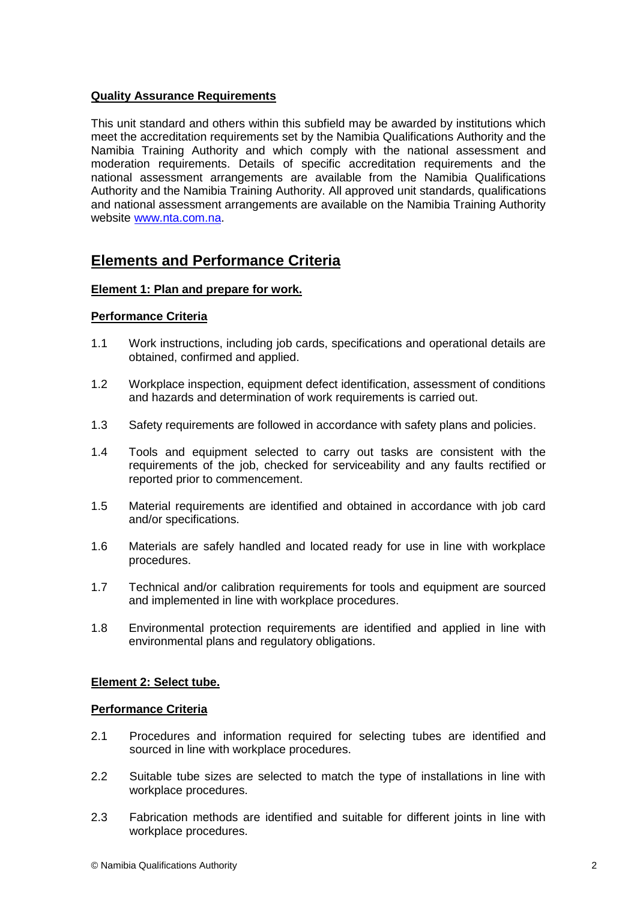# **Quality Assurance Requirements**

This unit standard and others within this subfield may be awarded by institutions which meet the accreditation requirements set by the Namibia Qualifications Authority and the Namibia Training Authority and which comply with the national assessment and moderation requirements. Details of specific accreditation requirements and the national assessment arrangements are available from the Namibia Qualifications Authority and the Namibia Training Authority. All approved unit standards, qualifications and national assessment arrangements are available on the Namibia Training Authority website [www.nta.com.na.](http://www.nta.com.na/)

# **Elements and Performance Criteria**

# **Element 1: Plan and prepare for work.**

#### **Performance Criteria**

- 1.1 Work instructions, including job cards, specifications and operational details are obtained, confirmed and applied.
- 1.2 Workplace inspection, equipment defect identification, assessment of conditions and hazards and determination of work requirements is carried out.
- 1.3 Safety requirements are followed in accordance with safety plans and policies.
- 1.4 Tools and equipment selected to carry out tasks are consistent with the requirements of the job, checked for serviceability and any faults rectified or reported prior to commencement.
- 1.5 Material requirements are identified and obtained in accordance with job card and/or specifications.
- 1.6 Materials are safely handled and located ready for use in line with workplace procedures.
- 1.7 Technical and/or calibration requirements for tools and equipment are sourced and implemented in line with workplace procedures.
- 1.8 Environmental protection requirements are identified and applied in line with environmental plans and regulatory obligations.

# **Element 2: Select tube.**

#### **Performance Criteria**

- 2.1 Procedures and information required for selecting tubes are identified and sourced in line with workplace procedures.
- 2.2 Suitable tube sizes are selected to match the type of installations in line with workplace procedures.
- 2.3 Fabrication methods are identified and suitable for different joints in line with workplace procedures.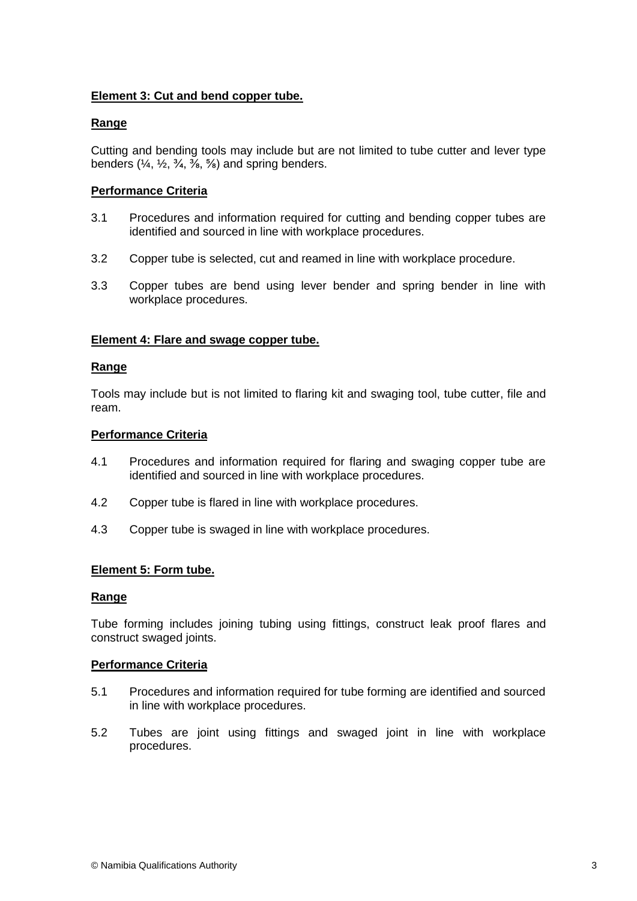# **Element 3: Cut and bend copper tube.**

# **Range**

Cutting and bending tools may include but are not limited to tube cutter and lever type benders  $(\frac{1}{4}, \frac{1}{2}, \frac{3}{4}, \frac{3}{8}, \frac{5}{8})$  and spring benders.

# **Performance Criteria**

- 3.1 Procedures and information required for cutting and bending copper tubes are identified and sourced in line with workplace procedures.
- 3.2 Copper tube is selected, cut and reamed in line with workplace procedure.
- 3.3 Copper tubes are bend using lever bender and spring bender in line with workplace procedures.

# **Element 4: Flare and swage copper tube.**

#### **Range**

Tools may include but is not limited to flaring kit and swaging tool, tube cutter, file and ream.

#### **Performance Criteria**

- 4.1 Procedures and information required for flaring and swaging copper tube are identified and sourced in line with workplace procedures.
- 4.2 Copper tube is flared in line with workplace procedures.
- 4.3 Copper tube is swaged in line with workplace procedures.

# **Element 5: Form tube.**

# **Range**

Tube forming includes joining tubing using fittings, construct leak proof flares and construct swaged joints.

# **Performance Criteria**

- 5.1 Procedures and information required for tube forming are identified and sourced in line with workplace procedures.
- 5.2 Tubes are joint using fittings and swaged joint in line with workplace procedures.